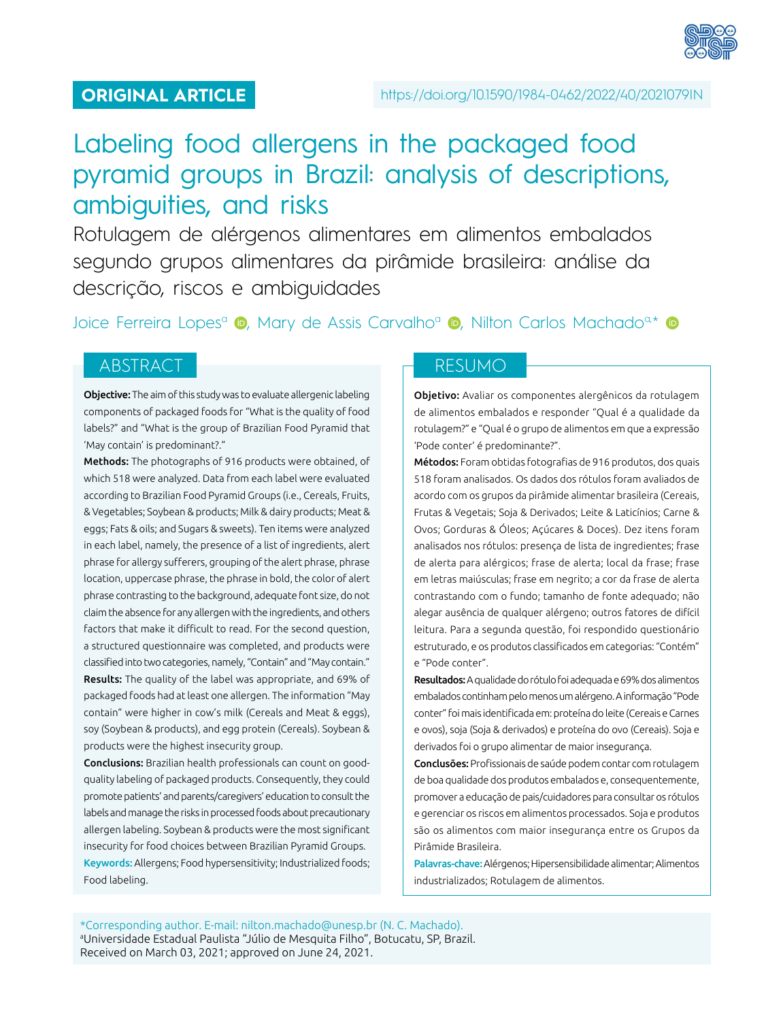

# Labeling food allergens in the packaged food pyramid groups in Brazil: analysis of descriptions, ambiguities, and risks

Rotulagem de alérgenos alimentares em alimentos embalados segundo grupos alimentares da pirâmide brasileira: análise da descrição, riscos e ambiguidades

JoiceFerreira Lopes<sup>a</sup> (**D**[,](http://orcid.org/0000-0002-8059-1730) Mary de Assis Carvalho<sup>a</sup> (**D**, Nilton Carlos Machado<sup>a,\*</sup> (**D**)

# ABSTRACT NESUMO

Objective: The aim of this study was to evaluate allergenic labeling components of packaged foods for "What is the quality of food labels?" and "What is the group of Brazilian Food Pyramid that 'May contain' is predominant?."

Methods: The photographs of 916 products were obtained, of which 518 were analyzed. Data from each label were evaluated according to Brazilian Food Pyramid Groups (i.e., Cereals, Fruits, & Vegetables; Soybean & products; Milk & dairy products; Meat & eggs; Fats & oils; and Sugars & sweets). Ten items were analyzed in each label, namely, the presence of a list of ingredients, alert phrase for allergy sufferers, grouping of the alert phrase, phrase location, uppercase phrase, the phrase in bold, the color of alert phrase contrasting to the background, adequate font size, do not claim the absence for any allergen with the ingredients, and others factors that make it difficult to read. For the second question, a structured questionnaire was completed, and products were classified into two categories, namely, "Contain" and "May contain." Results: The quality of the label was appropriate, and 69% of packaged foods had at least one allergen. The information "May contain" were higher in cow's milk (Cereals and Meat & eggs), soy (Soybean & products), and egg protein (Cereals). Soybean & products were the highest insecurity group.

Conclusions: Brazilian health professionals can count on goodquality labeling of packaged products. Consequently, they could promote patients' and parents/caregivers' education to consult the labels and manage the risks in processed foods about precautionary allergen labeling. Soybean & products were the most significant insecurity for food choices between Brazilian Pyramid Groups. Keywords: Allergens; Food hypersensitivity; Industrialized foods; Food labeling.

Objetivo: Avaliar os componentes alergênicos da rotulagem de alimentos embalados e responder "Qual é a qualidade da rotulagem?" e "Qual é o grupo de alimentos em que a expressão 'Pode conter' é predominante?".

Métodos: Foram obtidas fotografias de 916 produtos, dos quais 518 foram analisados. Os dados dos rótulos foram avaliados de acordo com os grupos da pirâmide alimentar brasileira (Cereais, Frutas & Vegetais; Soja & Derivados; Leite & Laticínios; Carne & Ovos; Gorduras & Óleos; Açúcares & Doces). Dez itens foram analisados nos rótulos: presença de lista de ingredientes; frase de alerta para alérgicos; frase de alerta; local da frase; frase em letras maiúsculas; frase em negrito; a cor da frase de alerta contrastando com o fundo; tamanho de fonte adequado; não alegar ausência de qualquer alérgeno; outros fatores de difícil leitura. Para a segunda questão, foi respondido questionário estruturado, e os produtos classificados em categorias: "Contém" e "Pode conter".

Resultados: A qualidade do rótulo foi adequada e 69% dos alimentos embalados continham pelo menos um alérgeno. A informação "Pode conter" foi mais identificada em: proteína do leite (Cereais e Carnes e ovos), soja (Soja & derivados) e proteína do ovo (Cereais). Soja e derivados foi o grupo alimentar de maior insegurança.

Conclusões: Profissionais de saúde podem contar com rotulagem de boa qualidade dos produtos embalados e, consequentemente, promover a educação de pais/cuidadores para consultar os rótulos e gerenciar os riscos em alimentos processados. Soja e produtos são os alimentos com maior insegurança entre os Grupos da Pirâmide Brasileira.

Palavras-chave: Alérgenos; Hipersensibilidade alimentar; Alimentos industrializados; Rotulagem de alimentos.

\*Corresponding author. E-mail: [nilton.machado@unesp.br](mailto:nilton.machado@unesp.br) (N. C. Machado). a Universidade Estadual Paulista "Júlio de Mesquita Filho", Botucatu, SP, Brazil. Received on March 03, 2021; approved on June 24, 2021.

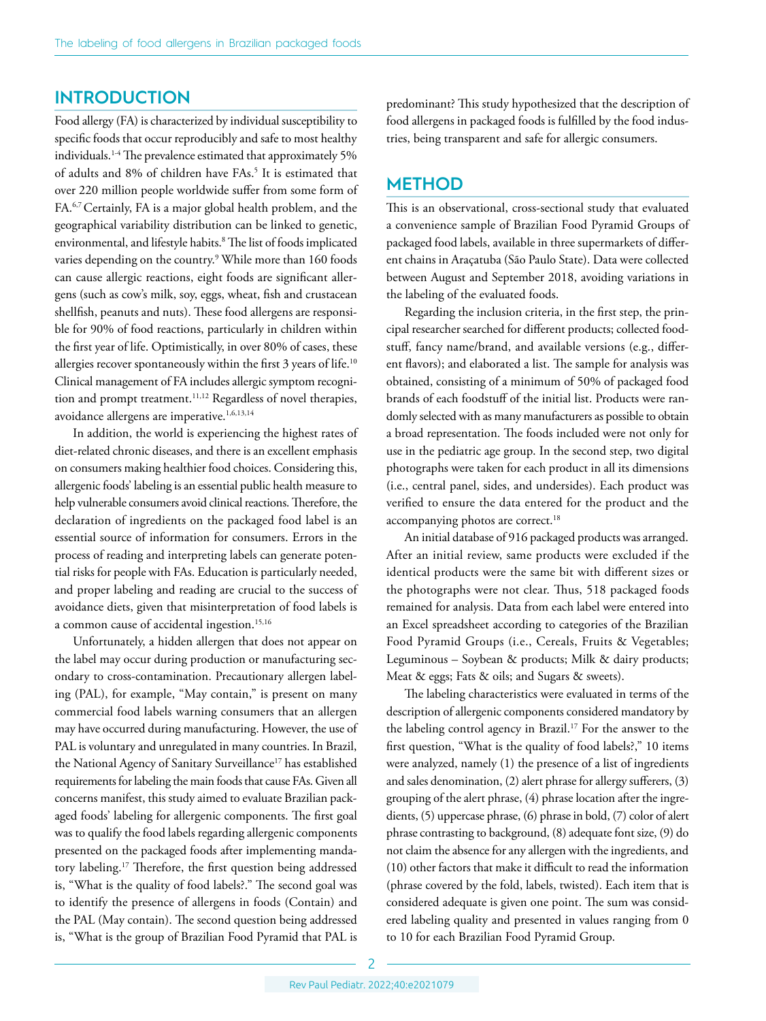## **INTRODUCTION**

Food allergy (FA) is characterized by individual susceptibility to specific foods that occur reproducibly and safe to most healthy individuals.<sup>1-4</sup> The prevalence estimated that approximately 5% of adults and 8% of children have FAs.<sup>5</sup> It is estimated that over 220 million people worldwide suffer from some form of FA.6,7 Certainly, FA is a major global health problem, and the geographical variability distribution can be linked to genetic, environmental, and lifestyle habits.8 The list of foods implicated varies depending on the country.9 While more than 160 foods can cause allergic reactions, eight foods are significant allergens (such as cow's milk, soy, eggs, wheat, fish and crustacean shellfish, peanuts and nuts). These food allergens are responsible for 90% of food reactions, particularly in children within the first year of life. Optimistically, in over 80% of cases, these allergies recover spontaneously within the first 3 years of life.<sup>10</sup> Clinical management of FA includes allergic symptom recognition and prompt treatment.<sup>11,12</sup> Regardless of novel therapies, avoidance allergens are imperative.<sup>1,6,13,14</sup>

In addition, the world is experiencing the highest rates of diet-related chronic diseases, and there is an excellent emphasis on consumers making healthier food choices. Considering this, allergenic foods' labeling is an essential public health measure to help vulnerable consumers avoid clinical reactions. Therefore, the declaration of ingredients on the packaged food label is an essential source of information for consumers. Errors in the process of reading and interpreting labels can generate potential risks for people with FAs. Education is particularly needed, and proper labeling and reading are crucial to the success of avoidance diets, given that misinterpretation of food labels is a common cause of accidental ingestion.<sup>15,16</sup>

Unfortunately, a hidden allergen that does not appear on the label may occur during production or manufacturing secondary to cross-contamination. Precautionary allergen labeling (PAL), for example, "May contain," is present on many commercial food labels warning consumers that an allergen may have occurred during manufacturing. However, the use of PAL is voluntary and unregulated in many countries. In Brazil, the National Agency of Sanitary Surveillance<sup>17</sup> has established requirements for labeling the main foods that cause FAs. Given all concerns manifest, this study aimed to evaluate Brazilian packaged foods' labeling for allergenic components. The first goal was to qualify the food labels regarding allergenic components presented on the packaged foods after implementing mandatory labeling.17 Therefore, the first question being addressed is, "What is the quality of food labels?." The second goal was to identify the presence of allergens in foods (Contain) and the PAL (May contain). The second question being addressed is, "What is the group of Brazilian Food Pyramid that PAL is

predominant? This study hypothesized that the description of food allergens in packaged foods is fulfilled by the food industries, being transparent and safe for allergic consumers.

# **METHOD**

This is an observational, cross-sectional study that evaluated a convenience sample of Brazilian Food Pyramid Groups of packaged food labels, available in three supermarkets of different chains in Araçatuba (São Paulo State). Data were collected between August and September 2018, avoiding variations in the labeling of the evaluated foods.

Regarding the inclusion criteria, in the first step, the principal researcher searched for different products; collected foodstuff, fancy name/brand, and available versions (e.g., different flavors); and elaborated a list. The sample for analysis was obtained, consisting of a minimum of 50% of packaged food brands of each foodstuff of the initial list. Products were randomly selected with as many manufacturers as possible to obtain a broad representation. The foods included were not only for use in the pediatric age group. In the second step, two digital photographs were taken for each product in all its dimensions (i.e., central panel, sides, and undersides). Each product was verified to ensure the data entered for the product and the accompanying photos are correct.<sup>18</sup>

An initial database of 916 packaged products was arranged. After an initial review, same products were excluded if the identical products were the same bit with different sizes or the photographs were not clear. Thus, 518 packaged foods remained for analysis. Data from each label were entered into an Excel spreadsheet according to categories of the Brazilian Food Pyramid Groups (i.e., Cereals, Fruits & Vegetables; Leguminous – Soybean & products; Milk & dairy products; Meat & eggs; Fats & oils; and Sugars & sweets).

The labeling characteristics were evaluated in terms of the description of allergenic components considered mandatory by the labeling control agency in Brazil.17 For the answer to the first question, "What is the quality of food labels?," 10 items were analyzed, namely (1) the presence of a list of ingredients and sales denomination, (2) alert phrase for allergy sufferers, (3) grouping of the alert phrase, (4) phrase location after the ingredients, (5) uppercase phrase, (6) phrase in bold, (7) color of alert phrase contrasting to background, (8) adequate font size, (9) do not claim the absence for any allergen with the ingredients, and (10) other factors that make it difficult to read the information (phrase covered by the fold, labels, twisted). Each item that is considered adequate is given one point. The sum was considered labeling quality and presented in values ranging from 0 to 10 for each Brazilian Food Pyramid Group.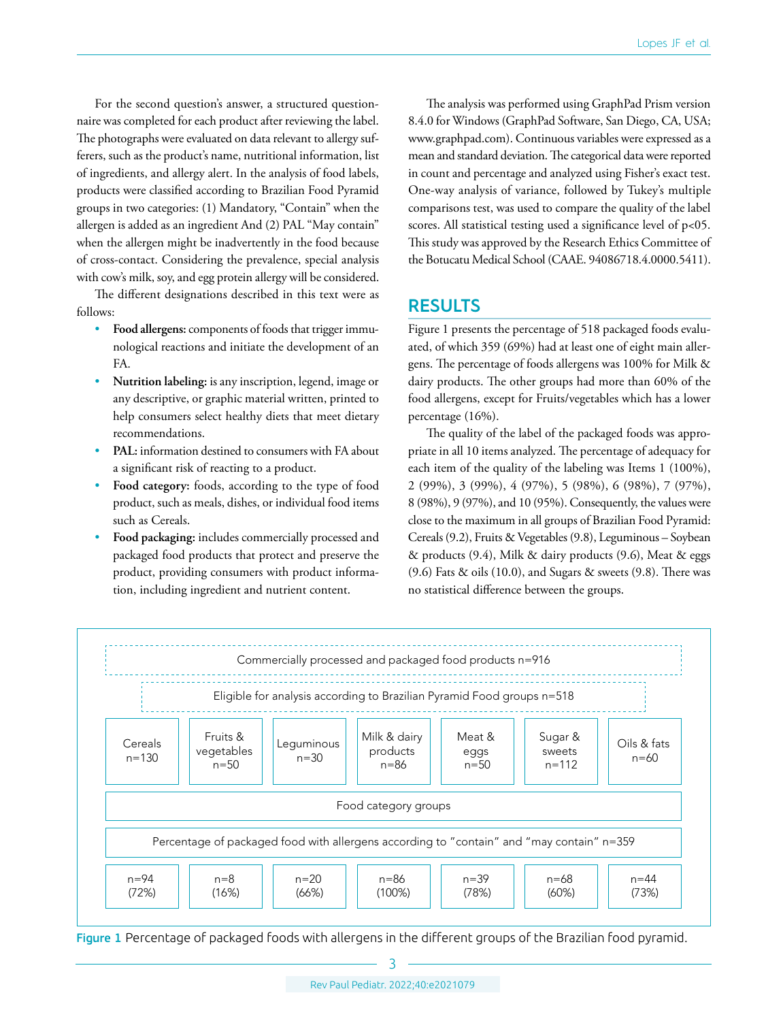For the second question's answer, a structured questionnaire was completed for each product after reviewing the label. The photographs were evaluated on data relevant to allergy sufferers, such as the product's name, nutritional information, list of ingredients, and allergy alert. In the analysis of food labels, products were classified according to Brazilian Food Pyramid groups in two categories: (1) Mandatory, "Contain" when the allergen is added as an ingredient And (2) PAL "May contain" when the allergen might be inadvertently in the food because of cross-contact. Considering the prevalence, special analysis with cow's milk, soy, and egg protein allergy will be considered.

The different designations described in this text were as follows:

- **Food allergens:** components of foods that trigger immunological reactions and initiate the development of an FA.
- **Nutrition labeling:** is any inscription, legend, image or any descriptive, or graphic material written, printed to help consumers select healthy diets that meet dietary recommendations.
- PAL: information destined to consumers with FA about a significant risk of reacting to a product.
- **Food category:** foods, according to the type of food product, such as meals, dishes, or individual food items such as Cereals.
- **Food packaging:** includes commercially processed and packaged food products that protect and preserve the product, providing consumers with product information, including ingredient and nutrient content.

The analysis was performed using GraphPad Prism version 8.4.0 for Windows (GraphPad Software, San Diego, CA, USA; [www.graphpad.com](http://www.graphpad.com)). Continuous variables were expressed as a mean and standard deviation. The categorical data were reported in count and percentage and analyzed using Fisher's exact test. One-way analysis of variance, followed by Tukey's multiple comparisons test, was used to compare the quality of the label scores. All statistical testing used a significance level of p<05. This study was approved by the Research Ethics Committee of the Botucatu Medical School (CAAE. 94086718.4.0000.5411).

# **RESULTS**

Figure 1 presents the percentage of 518 packaged foods evaluated, of which 359 (69%) had at least one of eight main allergens. The percentage of foods allergens was 100% for Milk & dairy products. The other groups had more than 60% of the food allergens, except for Fruits/vegetables which has a lower percentage (16%).

The quality of the label of the packaged foods was appropriate in all 10 items analyzed. The percentage of adequacy for each item of the quality of the labeling was Items 1 (100%), 2 (99%), 3 (99%), 4 (97%), 5 (98%), 6 (98%), 7 (97%), 8 (98%), 9 (97%), and 10 (95%). Consequently, the values were close to the maximum in all groups of Brazilian Food Pyramid: Cereals (9.2), Fruits & Vegetables (9.8), Leguminous – Soybean & products (9.4), Milk & dairy products (9.6), Meat & eggs (9.6) Fats & oils (10.0), and Sugars & sweets (9.8). There was no statistical difference between the groups.



Figure 1 Percentage of packaged foods with allergens in the different groups of the Brazilian food pyramid.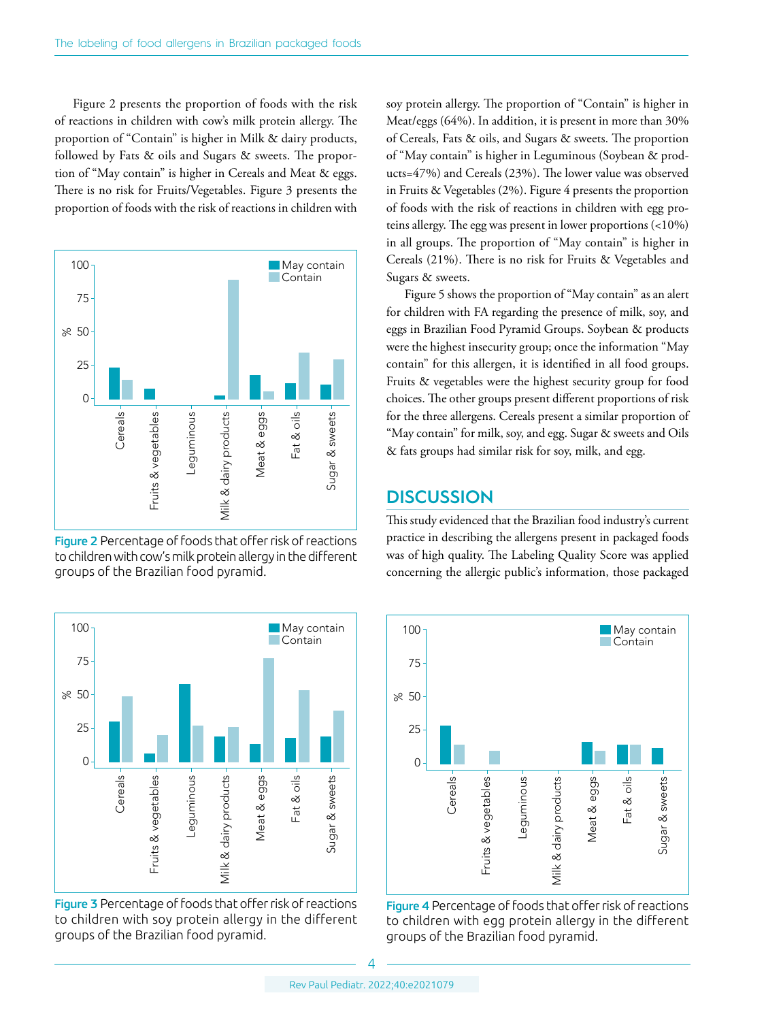Figure 2 presents the proportion of foods with the risk of reactions in children with cow's milk protein allergy. The proportion of "Contain" is higher in Milk & dairy products, followed by Fats & oils and Sugars & sweets. The proportion of "May contain" is higher in Cereals and Meat & eggs. There is no risk for Fruits/Vegetables. Figure 3 presents the proportion of foods with the risk of reactions in children with



Figure 2 Percentage of foods that offer risk of reactions to children with cow's milk protein allergy in the different groups of the Brazilian food pyramid.



Figure 3 Percentage of foods that offer risk of reactions to children with soy protein allergy in the different groups of the Brazilian food pyramid.

soy protein allergy. The proportion of "Contain" is higher in Meat/eggs (64%). In addition, it is present in more than 30% of Cereals, Fats & oils, and Sugars & sweets. The proportion of "May contain" is higher in Leguminous (Soybean & products=47%) and Cereals (23%). The lower value was observed in Fruits & Vegetables (2%). Figure 4 presents the proportion of foods with the risk of reactions in children with egg proteins allergy. The egg was present in lower proportions (<10%) in all groups. The proportion of "May contain" is higher in Cereals (21%). There is no risk for Fruits & Vegetables and Sugars & sweets.

Figure 5 shows the proportion of "May contain" as an alert for children with FA regarding the presence of milk, soy, and eggs in Brazilian Food Pyramid Groups. Soybean & products were the highest insecurity group; once the information "May contain" for this allergen, it is identified in all food groups. Fruits & vegetables were the highest security group for food choices. The other groups present different proportions of risk for the three allergens. Cereals present a similar proportion of "May contain" for milk, soy, and egg. Sugar & sweets and Oils & fats groups had similar risk for soy, milk, and egg.

# **DISCUSSION**

This study evidenced that the Brazilian food industry's current practice in describing the allergens present in packaged foods was of high quality. The Labeling Quality Score was applied concerning the allergic public's information, those packaged



Figure 4 Percentage of foods that offer risk of reactions to children with egg protein allergy in the different groups of the Brazilian food pyramid.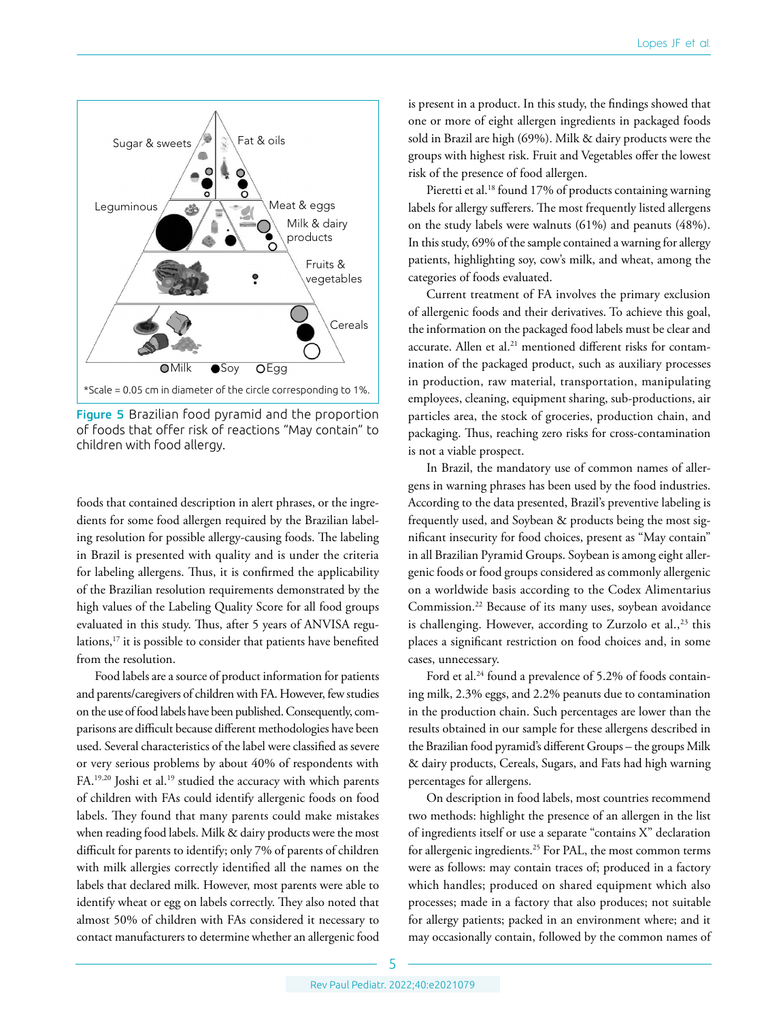

Figure 5 Brazilian food pyramid and the proportion of foods that offer risk of reactions "May contain" to children with food allergy.

foods that contained description in alert phrases, or the ingredients for some food allergen required by the Brazilian labeling resolution for possible allergy-causing foods. The labeling in Brazil is presented with quality and is under the criteria for labeling allergens. Thus, it is confirmed the applicability of the Brazilian resolution requirements demonstrated by the high values of the Labeling Quality Score for all food groups evaluated in this study. Thus, after 5 years of ANVISA regulations,<sup>17</sup> it is possible to consider that patients have benefited from the resolution.

Food labels are a source of product information for patients and parents/caregivers of children with FA. However, few studies on the use of food labels have been published. Consequently, comparisons are difficult because different methodologies have been used. Several characteristics of the label were classified as severe or very serious problems by about 40% of respondents with FA.<sup>19,20</sup> Joshi et al.<sup>19</sup> studied the accuracy with which parents of children with FAs could identify allergenic foods on food labels. They found that many parents could make mistakes when reading food labels. Milk & dairy products were the most difficult for parents to identify; only 7% of parents of children with milk allergies correctly identified all the names on the labels that declared milk. However, most parents were able to identify wheat or egg on labels correctly. They also noted that almost 50% of children with FAs considered it necessary to contact manufacturers to determine whether an allergenic food is present in a product. In this study, the findings showed that one or more of eight allergen ingredients in packaged foods sold in Brazil are high (69%). Milk & dairy products were the groups with highest risk. Fruit and Vegetables offer the lowest risk of the presence of food allergen.

Pieretti et al.<sup>18</sup> found 17% of products containing warning labels for allergy sufferers. The most frequently listed allergens on the study labels were walnuts (61%) and peanuts (48%). In this study, 69% of the sample contained a warning for allergy patients, highlighting soy, cow's milk, and wheat, among the categories of foods evaluated.

Current treatment of FA involves the primary exclusion of allergenic foods and their derivatives. To achieve this goal, the information on the packaged food labels must be clear and accurate. Allen et al.<sup>21</sup> mentioned different risks for contamination of the packaged product, such as auxiliary processes in production, raw material, transportation, manipulating employees, cleaning, equipment sharing, sub-productions, air particles area, the stock of groceries, production chain, and packaging. Thus, reaching zero risks for cross-contamination is not a viable prospect.

In Brazil, the mandatory use of common names of allergens in warning phrases has been used by the food industries. According to the data presented, Brazil's preventive labeling is frequently used, and Soybean & products being the most significant insecurity for food choices, present as "May contain" in all Brazilian Pyramid Groups. Soybean is among eight allergenic foods or food groups considered as commonly allergenic on a worldwide basis according to the Codex Alimentarius Commission.22 Because of its many uses, soybean avoidance is challenging. However, according to Zurzolo et al., $^{23}$  this places a significant restriction on food choices and, in some cases, unnecessary.

Ford et al.<sup>24</sup> found a prevalence of 5.2% of foods containing milk, 2.3% eggs, and 2.2% peanuts due to contamination in the production chain. Such percentages are lower than the results obtained in our sample for these allergens described in the Brazilian food pyramid's different Groups – the groups Milk & dairy products, Cereals, Sugars, and Fats had high warning percentages for allergens.

On description in food labels, most countries recommend two methods: highlight the presence of an allergen in the list of ingredients itself or use a separate "contains X" declaration for allergenic ingredients.<sup>25</sup> For PAL, the most common terms were as follows: may contain traces of; produced in a factory which handles; produced on shared equipment which also processes; made in a factory that also produces; not suitable for allergy patients; packed in an environment where; and it may occasionally contain, followed by the common names of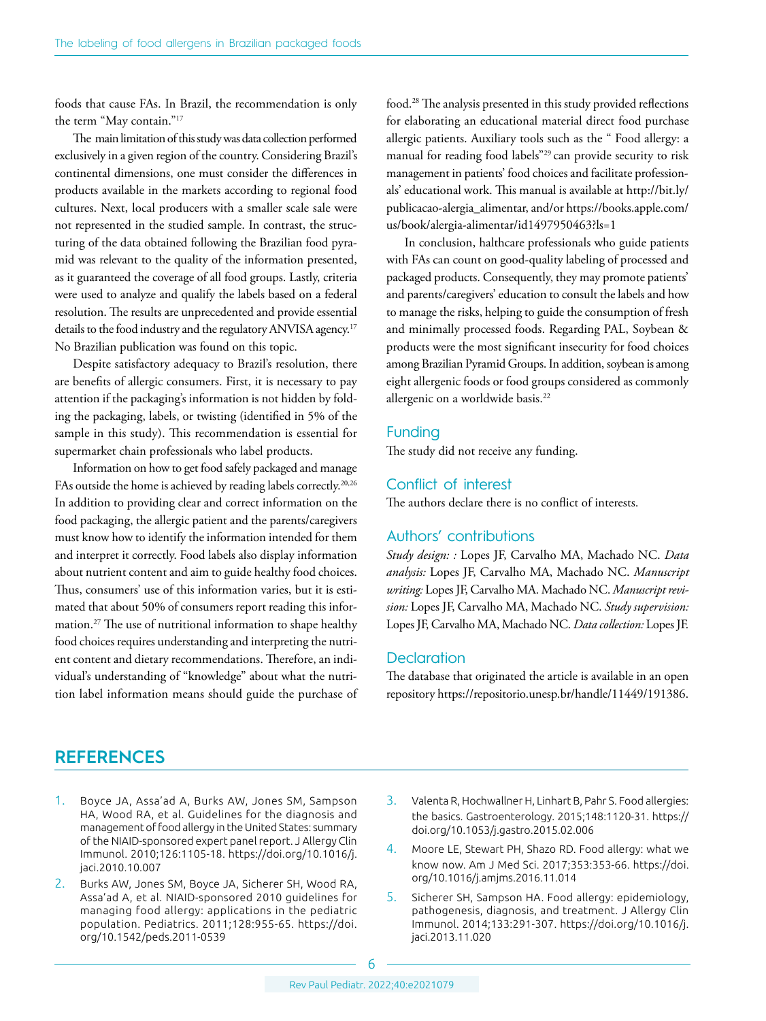foods that cause FAs. In Brazil, the recommendation is only the term "May contain."17

The main limitation of this study was data collection performed exclusively in a given region of the country. Considering Brazil's continental dimensions, one must consider the differences in products available in the markets according to regional food cultures. Next, local producers with a smaller scale sale were not represented in the studied sample. In contrast, the structuring of the data obtained following the Brazilian food pyramid was relevant to the quality of the information presented, as it guaranteed the coverage of all food groups. Lastly, criteria were used to analyze and qualify the labels based on a federal resolution. The results are unprecedented and provide essential details to the food industry and the regulatory ANVISA agency.<sup>17</sup> No Brazilian publication was found on this topic.

Despite satisfactory adequacy to Brazil's resolution, there are benefits of allergic consumers. First, it is necessary to pay attention if the packaging's information is not hidden by folding the packaging, labels, or twisting (identified in 5% of the sample in this study). This recommendation is essential for supermarket chain professionals who label products.

Information on how to get food safely packaged and manage FAs outside the home is achieved by reading labels correctly.<sup>20,26</sup> In addition to providing clear and correct information on the food packaging, the allergic patient and the parents/caregivers must know how to identify the information intended for them and interpret it correctly. Food labels also display information about nutrient content and aim to guide healthy food choices. Thus, consumers' use of this information varies, but it is estimated that about 50% of consumers report reading this information.27 The use of nutritional information to shape healthy food choices requires understanding and interpreting the nutrient content and dietary recommendations. Therefore, an individual's understanding of "knowledge" about what the nutrition label information means should guide the purchase of food.28 The analysis presented in this study provided reflections for elaborating an educational material direct food purchase allergic patients. Auxiliary tools such as the " Food allergy: a manual for reading food labels"29 can provide security to risk management in patients' food choices and facilitate professionals' educational work. This manual is available at [http://bit.ly/](http://bit.ly/publicacao-alergia_alimentar) [publicacao-alergia\\_alimentar,](http://bit.ly/publicacao-alergia_alimentar) and/or [https://books.apple.com/](https://books.apple.com/us/book/alergia-alimentar/id1497950463?ls=1) [us/book/alergia-alimentar/id1497950463?ls=1](https://books.apple.com/us/book/alergia-alimentar/id1497950463?ls=1)

In conclusion, halthcare professionals who guide patients with FAs can count on good-quality labeling of processed and packaged products. Consequently, they may promote patients' and parents/caregivers' education to consult the labels and how to manage the risks, helping to guide the consumption of fresh and minimally processed foods. Regarding PAL, Soybean & products were the most significant insecurity for food choices among Brazilian Pyramid Groups. In addition, soybean is among eight allergenic foods or food groups considered as commonly allergenic on a worldwide basis.<sup>22</sup>

#### Funding

The study did not receive any funding.

#### Conflict of interest

The authors declare there is no conflict of interests.

#### Authors' contributions

*Study design: :* Lopes JF, Carvalho MA, Machado NC. *Data analysis:* Lopes JF, Carvalho MA, Machado NC. *Manuscript writing:* Lopes JF, Carvalho MA. Machado NC. *Manuscript revision:* Lopes JF, Carvalho MA, Machado NC. *Study supervision:* Lopes JF, Carvalho MA, Machado NC. *Data collection:* Lopes JF.

### **Declaration**

The database that originated the article is available in an open repository<https://repositorio.unesp.br/handle/11449/191386>.

### **REFERENCES**

- 1. Boyce JA, Assa'ad A, Burks AW, Jones SM, Sampson HA, Wood RA, et al. Guidelines for the diagnosis and management of food allergy in the United States: summary of the NIAID-sponsored expert panel report. J Allergy Clin Immunol. 2010;126:1105-18. [https://doi.org/10.1016/j.](https://doi.org/10.1016/j.jaci.2010.10.007) [jaci.2010.10.007](https://doi.org/10.1016/j.jaci.2010.10.007)
- 2. Burks AW, Jones SM, Boyce JA, Sicherer SH, Wood RA, Assa'ad A, et al. NIAID-sponsored 2010 guidelines for managing food allergy: applications in the pediatric population. Pediatrics. 2011;128:955-65. [https://doi.](https://doi.org/10.1542/peds.2011-0539) [org/10.1542/peds.2011-0539](https://doi.org/10.1542/peds.2011-0539)
- 3. Valenta R, Hochwallner H, Linhart B, Pahr S. Food allergies: the basics. Gastroenterology. 2015;148:1120-31. [https://](https://doi.org/10.1053/j.gastro.2015.02.006) [doi.org/10.1053/j.gastro.2015.02.006](https://doi.org/10.1053/j.gastro.2015.02.006)
- 4. Moore LE, Stewart PH, Shazo RD. Food allergy: what we know now. Am J Med Sci. 2017;353:353-66. [https://doi.](https://doi.org/10.1016/j.amjms.2016.11.014) [org/10.1016/j.amjms.2016.11.014](https://doi.org/10.1016/j.amjms.2016.11.014)
- 5. Sicherer SH, Sampson HA. Food allergy: epidemiology, pathogenesis, diagnosis, and treatment. J Allergy Clin Immunol. 2014;133:291-307. [https://doi.org/10.1016/j.](https://doi.org/10.1016/j.jaci.2013.11.020) [jaci.2013.11.020](https://doi.org/10.1016/j.jaci.2013.11.020)